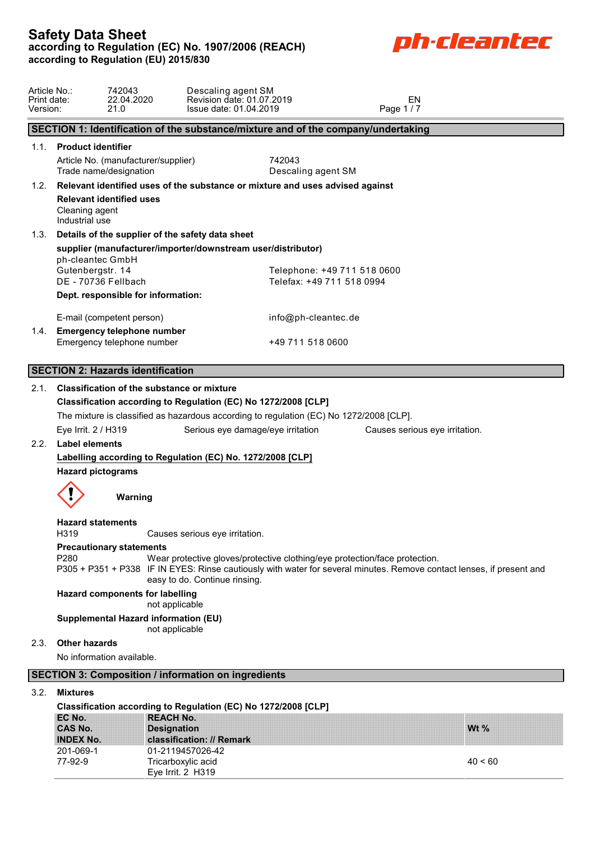

| Article No.:<br>Print date:<br>Version: |                                              | 742043<br>22.04.2020<br>21.0                                  | Descaling agent SM<br>Revision date: 01.07.2019<br>Issue date: 01.04.2019                                                                                                                           |                                                          | EN<br>Page 1/7                 |         |  |
|-----------------------------------------|----------------------------------------------|---------------------------------------------------------------|-----------------------------------------------------------------------------------------------------------------------------------------------------------------------------------------------------|----------------------------------------------------------|--------------------------------|---------|--|
|                                         |                                              |                                                               | SECTION 1: Identification of the substance/mixture and of the company/undertaking                                                                                                                   |                                                          |                                |         |  |
| 1.1.                                    | <b>Product identifier</b>                    | Article No. (manufacturer/supplier)<br>Trade name/designation |                                                                                                                                                                                                     | 742043<br>Descaling agent SM                             |                                |         |  |
| 1.2.                                    |                                              |                                                               | Relevant identified uses of the substance or mixture and uses advised against                                                                                                                       |                                                          |                                |         |  |
|                                         | Cleaning agent<br>Industrial use             | <b>Relevant identified uses</b>                               |                                                                                                                                                                                                     |                                                          |                                |         |  |
| 1.3.                                    |                                              |                                                               | Details of the supplier of the safety data sheet                                                                                                                                                    |                                                          |                                |         |  |
|                                         |                                              |                                                               | supplier (manufacturer/importer/downstream user/distributor)                                                                                                                                        |                                                          |                                |         |  |
|                                         | ph-cleantec GmbH<br>Gutenbergstr. 14         | DE - 70736 Fellbach                                           |                                                                                                                                                                                                     | Telephone: +49 711 518 0600<br>Telefax: +49 711 518 0994 |                                |         |  |
|                                         |                                              | Dept. responsible for information:                            |                                                                                                                                                                                                     |                                                          |                                |         |  |
|                                         |                                              | E-mail (competent person)<br>1.4. Emergency telephone number  |                                                                                                                                                                                                     | info@ph-cleantec.de                                      |                                |         |  |
|                                         |                                              | Emergency telephone number                                    |                                                                                                                                                                                                     | +49 711 518 0600                                         |                                |         |  |
|                                         |                                              |                                                               |                                                                                                                                                                                                     |                                                          |                                |         |  |
|                                         |                                              | <b>SECTION 2: Hazards identification</b>                      |                                                                                                                                                                                                     |                                                          |                                |         |  |
| 2.1.                                    |                                              | <b>Classification of the substance or mixture</b>             | Classification according to Regulation (EC) No 1272/2008 [CLP]                                                                                                                                      |                                                          |                                |         |  |
|                                         |                                              |                                                               | The mixture is classified as hazardous according to regulation (EC) No 1272/2008 [CLP].                                                                                                             |                                                          |                                |         |  |
|                                         | Eye Irrit. 2 / H319                          |                                                               | Serious eye damage/eye irritation                                                                                                                                                                   |                                                          | Causes serious eye irritation. |         |  |
| 2.2.                                    | <b>Label elements</b>                        |                                                               |                                                                                                                                                                                                     |                                                          |                                |         |  |
|                                         | <b>Hazard pictograms</b>                     |                                                               | Labelling according to Regulation (EC) No. 1272/2008 [CLP]                                                                                                                                          |                                                          |                                |         |  |
|                                         |                                              |                                                               |                                                                                                                                                                                                     |                                                          |                                |         |  |
|                                         |                                              | Warning                                                       |                                                                                                                                                                                                     |                                                          |                                |         |  |
|                                         | <b>Hazard statements</b><br>H319             |                                                               | Causes serious eye irritation.                                                                                                                                                                      |                                                          |                                |         |  |
|                                         | P280                                         | <b>Precautionary statements</b>                               | Wear protective gloves/protective clothing/eye protection/face protection.<br>P305 + P351 + P338 IF IN EYES: Rinse cautiously with water for several minutes. Remove contact lenses, if present and |                                                          |                                |         |  |
|                                         |                                              | <b>Hazard components for labelling</b>                        | easy to do. Continue rinsing.<br>not applicable                                                                                                                                                     |                                                          |                                |         |  |
|                                         |                                              | Supplemental Hazard information (EU)                          | not applicable                                                                                                                                                                                      |                                                          |                                |         |  |
| 2.3.                                    | <b>Other hazards</b>                         | No information available.                                     |                                                                                                                                                                                                     |                                                          |                                |         |  |
|                                         |                                              |                                                               | <b>SECTION 3: Composition / information on ingredients</b>                                                                                                                                          |                                                          |                                |         |  |
| 3.2.                                    | <b>Mixtures</b>                              |                                                               |                                                                                                                                                                                                     |                                                          |                                |         |  |
|                                         |                                              |                                                               | Classification according to Regulation (EC) No 1272/2008 [CLP]                                                                                                                                      |                                                          |                                |         |  |
|                                         | EC No.<br><b>CAS No.</b><br><b>INDEX No.</b> |                                                               | <b>REACH No.</b><br><b>Designation</b><br>classification: // Remark                                                                                                                                 |                                                          |                                | Wt $%$  |  |
|                                         | 201-069-1<br>77-92-9                         |                                                               | 01-2119457026-42<br>Tricarboxylic acid<br>Eye Irrit. 2 H319                                                                                                                                         |                                                          |                                | 40 < 60 |  |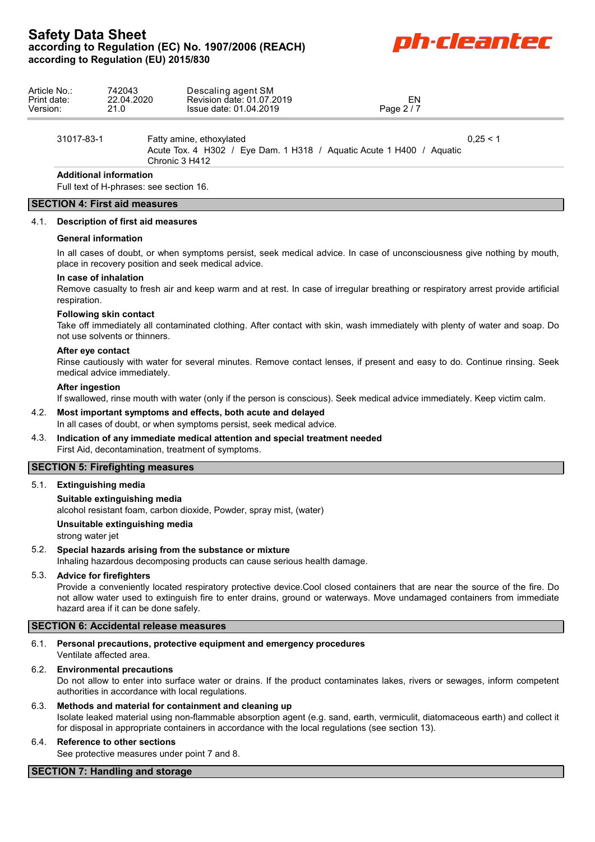# **Safety Data Sheet** Sarety Data Sheet<br>according to Regulation (EC) No. 1907/2006 (REACH)<br>**DITLED BEAT CONTINUES according to Regulation (EU) 2015/830**



| Article No.:<br>Print date:<br>Version: | 742043<br>22.04.2020<br>21.0                                                                                       | Descaling agent SM<br>Revision date: 01.07.2019<br>Issue date: 01.04.2019 | EN<br>Page 2/7 |  |
|-----------------------------------------|--------------------------------------------------------------------------------------------------------------------|---------------------------------------------------------------------------|----------------|--|
| 31017-83-1                              | Fatty amine, ethoxylated<br>Acute Tox. 4 H302 / Eye Dam. 1 H318 / Aguatic Acute 1 H400 / Aguatic<br>Chronic 3 H412 |                                                                           | 0.25 < 1       |  |
|                                         | <b>Additional information</b>                                                                                      |                                                                           |                |  |

Full text of H-phrases: see section 16.

# **SECTION 4: First aid measures**

### 4.1. **Description of first aid measures**

### **General information**

In all cases of doubt, or when symptoms persist, seek medical advice. In case of unconsciousness give nothing by mouth, place in recovery position and seek medical advice.

### **In case of inhalation**

Remove casualty to fresh air and keep warm and at rest. In case of irregular breathing or respiratory arrest provide artificial respiration.

### **Following skin contact**

Take off immediately all contaminated clothing. After contact with skin, wash immediately with plenty of water and soap. Do not use solvents or thinners.

#### **After eye contact**

Rinse cautiously with water for several minutes. Remove contact lenses, if present and easy to do. Continue rinsing. Seek medical advice immediately.

### **After ingestion**

If swallowed, rinse mouth with water (only if the person is conscious). Seek medical advice immediately. Keep victim calm.

## 4.2. **Most important symptoms and effects, both acute and delayed**

In all cases of doubt, or when symptoms persist, seek medical advice.

4.3. **Indication of any immediate medical attention and special treatment needed** First Aid, decontamination, treatment of symptoms.

## **SECTION 5: Firefighting measures**

5.1. **Extinguishing media**

## **Suitable extinguishing media**

alcohol resistant foam, carbon dioxide, Powder, spray mist, (water)

**Unsuitable extinguishing media**

strong water jet

# 5.2. **Special hazards arising from the substance or mixture**

Inhaling hazardous decomposing products can cause serious health damage.

## 5.3. **Advice for firefighters**

Provide a conveniently located respiratory protective device.Cool closed containers that are near the source of the fire. Do not allow water used to extinguish fire to enter drains, ground or waterways. Move undamaged containers from immediate hazard area if it can be done safely.

## **SECTION 6: Accidental release measures**

### 6.1. **Personal precautions, protective equipment and emergency procedures** Ventilate affected area.

## 6.2. **Environmental precautions**

Do not allow to enter into surface water or drains. If the product contaminates lakes, rivers or sewages, inform competent authorities in accordance with local regulations.

6.3. **Methods and material for containment and cleaning up** Isolate leaked material using non-flammable absorption agent (e.g. sand, earth, vermiculit, diatomaceous earth) and collect it for disposal in appropriate containers in accordance with the local regulations (see section 13).

## 6.4. **Reference to other sections**

See protective measures under point 7 and 8.

## **SECTION 7: Handling and storage**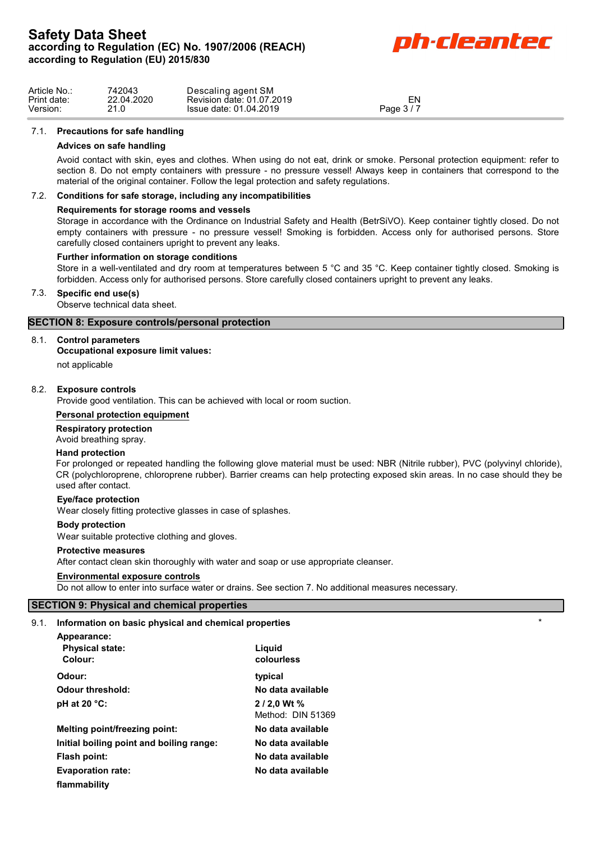

| Article No  | 742043       | Descaling agent SM        |            |  |
|-------------|--------------|---------------------------|------------|--|
| Print date: | 22.04.2020   | Revision date: 01.07.2019 | ΕN         |  |
| Version:    | ን1 ሰ<br>21.U | Issue date: 01.04.2019    | Page $3/7$ |  |

## 7.1. **Precautions for safe handling**

## **Advices on safe handling**

Avoid contact with skin, eyes and clothes. When using do not eat, drink or smoke. Personal protection equipment: refer to section 8. Do not empty containers with pressure - no pressure vessel! Always keep in containers that correspond to the material of the original container. Follow the legal protection and safety regulations.

## 7.2. **Conditions for safe storage, including any incompatibilities**

### **Requirements for storage rooms and vessels**

Storage in accordance with the Ordinance on Industrial Safety and Health (BetrSiVO). Keep container tightly closed. Do not empty containers with pressure - no pressure vessel! Smoking is forbidden. Access only for authorised persons. Store carefully closed containers upright to prevent any leaks.

### **Further information on storage conditions**

Store in a well-ventilated and dry room at temperatures between 5 °C and 35 °C. Keep container tightly closed. Smoking is forbidden. Access only for authorised persons. Store carefully closed containers upright to prevent any leaks.

## 7.3. **Specific end use(s)**

Observe technical data sheet.

# **SECTION 8: Exposure controls/personal protection**

### 8.1. **Control parameters**

## **Occupational exposure limit values:**

not applicable

## 8.2. **Exposure controls**

Provide good ventilation. This can be achieved with local or room suction.

#### **Personal protection equipment**

## **Respiratory protection**

Avoid breathing spray.

#### **Hand protection**

For prolonged or repeated handling the following glove material must be used: NBR (Nitrile rubber), PVC (polyvinyl chloride), CR (polychloroprene, chloroprene rubber). Barrier creams can help protecting exposed skin areas. In no case should they be used after contact.

#### **Eye/face protection**

Wear closely fitting protective glasses in case of splashes.

#### **Body protection**

Wear suitable protective clothing and gloves.

#### **Protective measures**

After contact clean skin thoroughly with water and soap or use appropriate cleanser.

#### **Environmental exposure controls**

Do not allow to enter into surface water or drains. See section 7. No additional measures necessary.

# **SECTION 9: Physical and chemical properties**

# 9.1. **Information on basic physical and chemical properties** \*

| <b>INTO MIGHER OF DESIGNATION</b> CHEMICAL PLOPERIES |                                   |
|------------------------------------------------------|-----------------------------------|
| Appearance:<br><b>Physical state:</b><br>Colour:     | Liguid<br>colourless              |
| Odour:                                               | typical                           |
| Odour threshold:                                     | No data available                 |
| pH at 20 $°C$ :                                      | $2/2.0$ Wt %<br>Method: DIN 51369 |
| Melting point/freezing point:                        | No data available                 |
| Initial boiling point and boiling range:             | No data available                 |
| Flash point:                                         | No data available                 |
| <b>Evaporation rate:</b>                             | No data available                 |
| flammability                                         |                                   |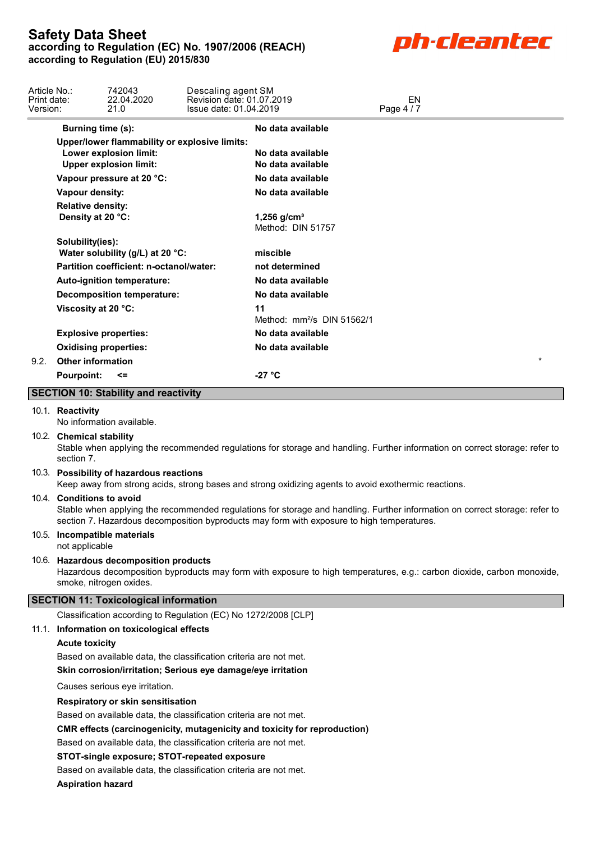

| Article No.:<br>Print date:<br>Version: | 742043<br>22.04.2020<br>21.0                                                                             | Descaling agent SM<br>Revision date: 01.07.2019<br>Issue date: 01.04.2019 |                                        | EN<br>Page 4 / 7                                                                                                                                                                                                          |  |
|-----------------------------------------|----------------------------------------------------------------------------------------------------------|---------------------------------------------------------------------------|----------------------------------------|---------------------------------------------------------------------------------------------------------------------------------------------------------------------------------------------------------------------------|--|
|                                         | Burning time (s):                                                                                        |                                                                           | No data available                      |                                                                                                                                                                                                                           |  |
|                                         | Upper/lower flammability or explosive limits:<br>Lower explosion limit:<br><b>Upper explosion limit:</b> |                                                                           | No data available<br>No data available |                                                                                                                                                                                                                           |  |
|                                         | Vapour pressure at 20 °C:                                                                                |                                                                           | No data available                      |                                                                                                                                                                                                                           |  |
|                                         | Vapour density:                                                                                          |                                                                           | No data available                      |                                                                                                                                                                                                                           |  |
|                                         | <b>Relative density:</b><br>Density at 20 °C:                                                            |                                                                           | 1,256 $g/cm^{3}$<br>Method: DIN 51757  |                                                                                                                                                                                                                           |  |
|                                         | Solubility(ies):<br>Water solubility (g/L) at 20 °C:                                                     |                                                                           | miscible                               |                                                                                                                                                                                                                           |  |
|                                         | Partition coefficient: n-octanol/water:                                                                  |                                                                           | not determined                         |                                                                                                                                                                                                                           |  |
|                                         | Auto-ignition temperature:                                                                               |                                                                           | No data available                      |                                                                                                                                                                                                                           |  |
|                                         | <b>Decomposition temperature:</b>                                                                        |                                                                           | No data available                      |                                                                                                                                                                                                                           |  |
|                                         | Viscosity at 20 °C:                                                                                      |                                                                           | 11                                     |                                                                                                                                                                                                                           |  |
|                                         |                                                                                                          |                                                                           | Method: mm <sup>2</sup> /s DIN 51562/1 |                                                                                                                                                                                                                           |  |
|                                         | <b>Explosive properties:</b>                                                                             |                                                                           | No data available                      |                                                                                                                                                                                                                           |  |
|                                         | <b>Oxidising properties:</b>                                                                             |                                                                           | No data available                      |                                                                                                                                                                                                                           |  |
|                                         | 9.2. Other information                                                                                   |                                                                           |                                        |                                                                                                                                                                                                                           |  |
|                                         | <b>Pourpoint:</b><br><=                                                                                  |                                                                           | $-27 °C$                               |                                                                                                                                                                                                                           |  |
|                                         | <b>SECTION 10: Stability and reactivity</b>                                                              |                                                                           |                                        |                                                                                                                                                                                                                           |  |
|                                         | 10.1. Reactivity<br>No information available.                                                            |                                                                           |                                        |                                                                                                                                                                                                                           |  |
|                                         | 10.2. Chemical stability<br>section 7.                                                                   |                                                                           |                                        | Stable when applying the recommended regulations for storage and handling. Further information on correct storage: refer to                                                                                               |  |
|                                         | 10.3. Possibility of hazardous reactions                                                                 |                                                                           |                                        | Keep away from strong acids, strong bases and strong oxidizing agents to avoid exothermic reactions.                                                                                                                      |  |
|                                         | 10.4. Conditions to avoid                                                                                |                                                                           |                                        | Stable when applying the recommended regulations for storage and handling. Further information on correct storage: refer to<br>section 7. Hazardous decomposition byproducts may form with exposure to high temperatures. |  |
|                                         | 10.5. Incompatible materials<br>not applicable                                                           |                                                                           |                                        |                                                                                                                                                                                                                           |  |
|                                         | 10.6. Hazardous decomposition products<br>smoke, nitrogen oxides.                                        |                                                                           |                                        | Hazardous decomposition byproducts may form with exposure to high temperatures, e.g.: carbon dioxide, carbon monoxide,                                                                                                    |  |
|                                         | <b>SECTION 11: Toxicological information</b>                                                             |                                                                           |                                        |                                                                                                                                                                                                                           |  |
|                                         | Classification according to Regulation (EC) No 1272/2008 [CLP]                                           |                                                                           |                                        |                                                                                                                                                                                                                           |  |
|                                         | 11.1. Information on toxicological effects                                                               |                                                                           |                                        |                                                                                                                                                                                                                           |  |
|                                         | <b>Acute toxicity</b>                                                                                    |                                                                           |                                        |                                                                                                                                                                                                                           |  |
|                                         | Based on available data, the classification criteria are not met.                                        |                                                                           |                                        |                                                                                                                                                                                                                           |  |
|                                         | Skin corrosion/irritation; Serious eye damage/eye irritation                                             |                                                                           |                                        |                                                                                                                                                                                                                           |  |
|                                         | Causes serious eye irritation.                                                                           |                                                                           |                                        |                                                                                                                                                                                                                           |  |
|                                         | Respiratory or skin sensitisation<br>Based on available data, the classification criteria are not met.   |                                                                           |                                        |                                                                                                                                                                                                                           |  |
|                                         | CMR effects (carcinogenicity, mutagenicity and toxicity for reproduction)                                |                                                                           |                                        |                                                                                                                                                                                                                           |  |
|                                         | Based on available data, the classification criteria are not met.                                        |                                                                           |                                        |                                                                                                                                                                                                                           |  |
|                                         | STOT-single exposure; STOT-repeated exposure                                                             |                                                                           |                                        |                                                                                                                                                                                                                           |  |
|                                         | Based on available data, the classification criteria are not met.                                        |                                                                           |                                        |                                                                                                                                                                                                                           |  |
|                                         | <b>Aspiration hazard</b>                                                                                 |                                                                           |                                        |                                                                                                                                                                                                                           |  |
|                                         |                                                                                                          |                                                                           |                                        |                                                                                                                                                                                                                           |  |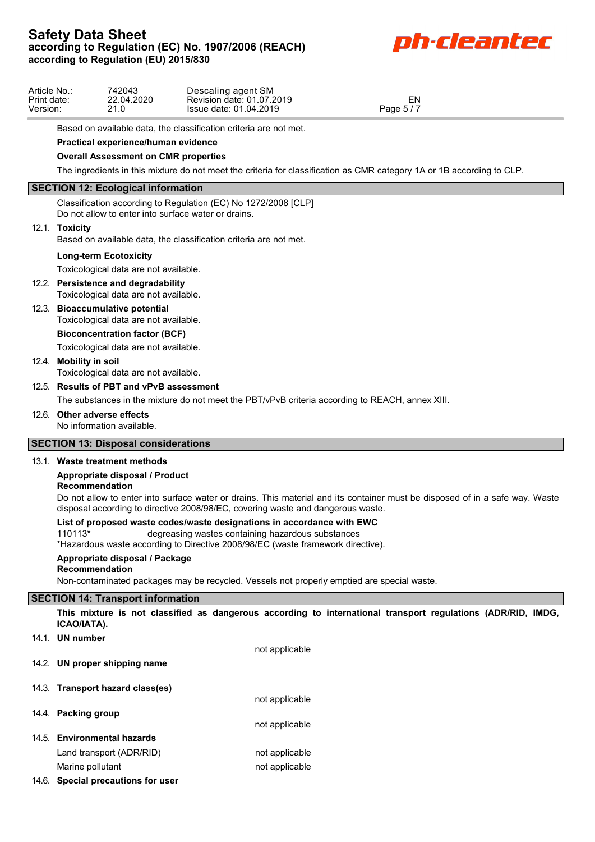# **Safety Data Sheet** Safety Data Sheet<br>according to Regulation (EC) No. 1907/2006 (REACH)<br>**Dh-Cleante Dh-Cleante according to Regulation (EU) 2015/830**



| Article No.: | 742043     | Descaling agent SM        |                                  |  |
|--------------|------------|---------------------------|----------------------------------|--|
| Print date:  | 22.04.2020 | Revision date: 01.07.2019 | EN                               |  |
| Version:     | 210        | Issue date: 01.04.2019    | $\cdots$ $\cdots$<br>Page $5/$ . |  |
|              |            |                           |                                  |  |

Based on available data, the classification criteria are not met.

# **Practical experience/human evidence**

# **Overall Assessment on CMR properties**

The ingredients in this mixture do not meet the criteria for classification as CMR category 1A or 1B according to CLP.

## **SECTION 12: Ecological information**

Classification according to Regulation (EC) No 1272/2008 [CLP] Do not allow to enter into surface water or drains.

### 12.1. **Toxicity**

Based on available data, the classification criteria are not met.

## **Long-term Ecotoxicity**

Toxicological data are not available.

- 12.2. **Persistence and degradability** Toxicological data are not available.
- 12.3. **Bioaccumulative potential**

Toxicological data are not available.

# **Bioconcentration factor (BCF)**

Toxicological data are not available.

# 12.4. **Mobility in soil**

Toxicological data are not available.

# 12.5. **Results of PBT and vPvB assessment**

The substances in the mixture do not meet the PBT/vPvB criteria according to REACH, annex XIII.

## 12.6. **Other adverse effects**

No information available.

# **SECTION 13: Disposal considerations**

## 13.1. **Waste treatment methods**

## **Appropriate disposal / Product**

# **Recommendation**

Do not allow to enter into surface water or drains. This material and its container must be disposed of in a safe way. Waste disposal according to directive 2008/98/EC, covering waste and dangerous waste.

## **List of proposed waste codes/waste designations in accordance with EWC**

110113\* degreasing wastes containing hazardous substances

\*Hazardous waste according to Directive 2008/98/EC (waste framework directive).

## **Appropriate disposal / Package**

## **Recommendation**

Non-contaminated packages may be recycled. Vessels not properly emptied are special waste.

# **SECTION 14: Transport information**

**This mixture is not classified as dangerous according to international transport regulations (ADR/RID, IMDG, ICAO/IATA).**

14.1. **UN number**

not applicable

not applicable

- 14.2. **UN proper shipping name**
- 14.3. **Transport hazard class(es)**
- 14.4. **Packing group**
- not applicable 14.5. **Environmental hazards**
	- Land transport (ADR/RID) not applicable Marine pollutant not applicable
- 14.6. **Special precautions for user**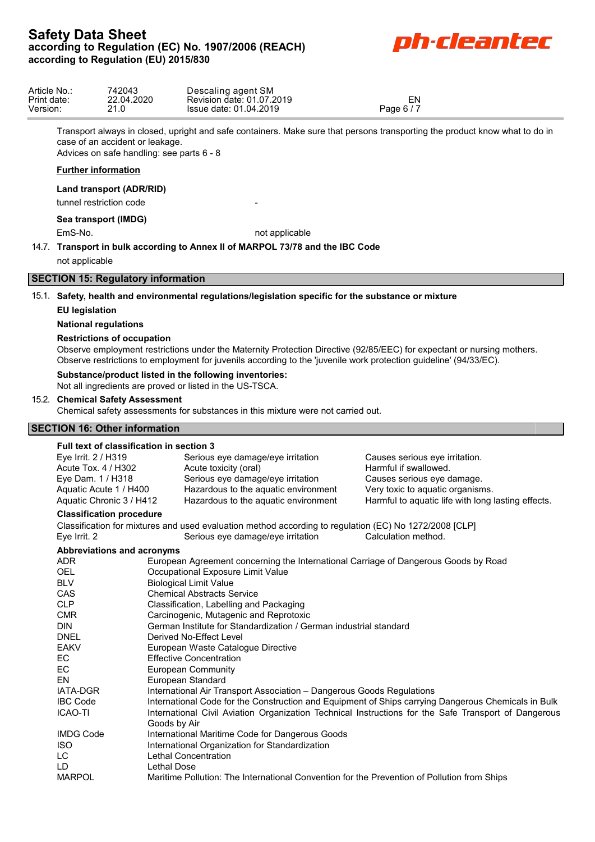# **Safety Data Sheet** Safety Data Sheet<br>according to Regulation (EC) No. 1907/2006 (REACH)<br>**Dh-Cleante Dh-Cleant Control according to Regulation (EU) 2015/830**



| Article No.: | 742043     | Descaling agent SM        |            |  |
|--------------|------------|---------------------------|------------|--|
| Print date.  | 22.04.2020 | Revision date: 01.07.2019 | EN         |  |
| Version:     | ິ້         | Issue date: 01.04.2019    | Page 6 / 7 |  |

Transport always in closed, upright and safe containers. Make sure that persons transporting the product know what to do in case of an accident or leakage.

Advices on safe handling: see parts 6 - 8

# **Further information**

**Land transport (ADR/RID)**

tunnel restriction code

# **Sea transport (IMDG)**

EmS-No. **not** applicable

14.7. **Transport in bulk according to Annex II of MARPOL 73/78 and the IBC Code** not applicable

# **SECTION 15: Regulatory information**

15.1. **Safety, health and environmental regulations/legislation specific for the substance or mixture**

# **EU legislation**

# **National regulations**

# **Restrictions of occupation**

Observe employment restrictions under the Maternity Protection Directive (92/85/EEC) for expectant or nursing mothers. Observe restrictions to employment for juvenils according to the 'juvenile work protection guideline' (94/33/EC).

# **Substance/product listed in the following inventories:**

Not all ingredients are proved or listed in the US-TSCA.

# 15.2. **Chemical Safety Assessment**

Chemical safety assessments for substances in this mixture were not carried out.

# **SECTION 16: Other information**

| Full text of classification in section 3 |                                   |                                                                                                        |                                                                                                      |  |  |  |
|------------------------------------------|-----------------------------------|--------------------------------------------------------------------------------------------------------|------------------------------------------------------------------------------------------------------|--|--|--|
| Eye Irrit. 2 / H319                      |                                   | Serious eye damage/eye irritation                                                                      | Causes serious eye irritation.                                                                       |  |  |  |
| Acute Tox. 4 / H302                      |                                   | Acute toxicity (oral)                                                                                  | Harmful if swallowed.                                                                                |  |  |  |
| Eye Dam. 1 / H318                        |                                   | Serious eye damage/eye irritation                                                                      | Causes serious eye damage.                                                                           |  |  |  |
| Aquatic Acute 1 / H400                   |                                   | Hazardous to the aquatic environment                                                                   | Very toxic to aquatic organisms.                                                                     |  |  |  |
| Aquatic Chronic 3 / H412                 |                                   | Hazardous to the aquatic environment                                                                   | Harmful to aquatic life with long lasting effects.                                                   |  |  |  |
| <b>Classification procedure</b>          |                                   |                                                                                                        |                                                                                                      |  |  |  |
|                                          |                                   | Classification for mixtures and used evaluation method according to regulation (EC) No 1272/2008 [CLP] |                                                                                                      |  |  |  |
| Eye Irrit. 2                             |                                   | Serious eye damage/eye irritation                                                                      | Calculation method.                                                                                  |  |  |  |
| Abbreviations and acronyms               |                                   |                                                                                                        |                                                                                                      |  |  |  |
| <b>ADR</b>                               |                                   | European Agreement concerning the International Carriage of Dangerous Goods by Road                    |                                                                                                      |  |  |  |
| <b>OEL</b>                               |                                   | Occupational Exposure Limit Value                                                                      |                                                                                                      |  |  |  |
| <b>BLV</b>                               |                                   | <b>Biological Limit Value</b>                                                                          |                                                                                                      |  |  |  |
| CAS                                      | <b>Chemical Abstracts Service</b> |                                                                                                        |                                                                                                      |  |  |  |
| <b>CLP</b>                               |                                   | Classification, Labelling and Packaging                                                                |                                                                                                      |  |  |  |
| <b>CMR</b>                               |                                   | Carcinogenic, Mutagenic and Reprotoxic                                                                 |                                                                                                      |  |  |  |
| <b>DIN</b>                               |                                   | German Institute for Standardization / German industrial standard                                      |                                                                                                      |  |  |  |
| <b>DNEL</b>                              |                                   | Derived No-Effect Level                                                                                |                                                                                                      |  |  |  |
| <b>EAKV</b>                              |                                   | European Waste Catalogue Directive                                                                     |                                                                                                      |  |  |  |
| EC                                       |                                   | <b>Effective Concentration</b>                                                                         |                                                                                                      |  |  |  |
| EC                                       |                                   | <b>European Community</b>                                                                              |                                                                                                      |  |  |  |
| EN                                       |                                   | European Standard                                                                                      |                                                                                                      |  |  |  |
| <b>IATA-DGR</b>                          |                                   | International Air Transport Association - Dangerous Goods Regulations                                  |                                                                                                      |  |  |  |
| <b>IBC Code</b>                          |                                   |                                                                                                        | International Code for the Construction and Equipment of Ships carrying Dangerous Chemicals in Bulk  |  |  |  |
| <b>ICAO-TI</b>                           |                                   |                                                                                                        | International Civil Aviation Organization Technical Instructions for the Safe Transport of Dangerous |  |  |  |
|                                          | Goods by Air                      |                                                                                                        |                                                                                                      |  |  |  |
| <b>IMDG Code</b>                         |                                   | International Maritime Code for Dangerous Goods                                                        |                                                                                                      |  |  |  |
| <b>ISO</b>                               |                                   | International Organization for Standardization                                                         |                                                                                                      |  |  |  |
| LC.                                      |                                   | Lethal Concentration                                                                                   |                                                                                                      |  |  |  |
| LD                                       | Lethal Dose                       |                                                                                                        |                                                                                                      |  |  |  |
| <b>MARPOL</b>                            |                                   | Maritime Pollution: The International Convention for the Prevention of Pollution from Ships            |                                                                                                      |  |  |  |